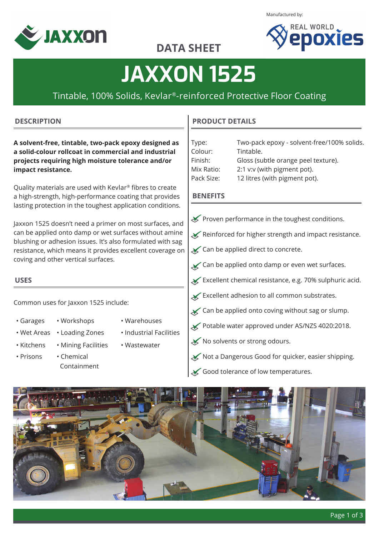Manufactured by:





## **DATA SHEET**

# **JAXXON 1525**

### Tintable, 100% Solids, Kevlar®-reinforced Protective Floor Coating

#### **DESCRIPTION**

**A solvent-free, tintable, two-pack epoxy designed as a solid-colour rollcoat in commercial and industrial projects requiring high moisture tolerance and/or impact resistance.**

Quality materials are used with Kevlar® fibres to create a high-strength, high-performance coating that provides lasting protection in the toughest application conditions.

Jaxxon 1525 doesn't need a primer on most surfaces, and can be applied onto damp or wet surfaces without amine blushing or adhesion issues. It's also formulated with sag resistance, which means it provides excellent coverage on coving and other vertical surfaces.

### **USES**

Common uses for Jaxxon 1525 include:

- -
- Garages Workshops Warehouses
	-
- 
- Wet Areas Loading Zones Industrial Facilities
	-
- 
- Prisons Chemical Containment
- 
- 
- Kitchens Mining Facilities Wastewater

#### **PRODUCT DETAILS**

| Type:      | Two-pack epoxy - solvent-free/100% solids. |
|------------|--------------------------------------------|
| Colour:    | Tintable.                                  |
| Finish:    | Gloss (subtle orange peel texture).        |
| Mix Ratio: | 2:1 v:v (with pigment pot).                |
| Pack Size: | 12 litres (with pigment pot).              |

#### **BENEFITS**

- Proven performance in the toughest conditions.
- $\blacktriangleright$  Reinforced for higher strength and impact resistance.
- **Ex** Can be applied direct to concrete.
- $\chi$  Can be applied onto damp or even wet surfaces.
- Excellent chemical resistance, e.g. 70% sulphuric acid.
- $\mathbf{\times}$  Excellent adhesion to all common substrates.
- $\chi$  Can be applied onto coving without sag or slump.
- Potable water approved under AS/NZS 4020:2018.
- ◆ No solvents or strong odours.
- Not a Dangerous Good for quicker, easier shipping.
- $\blacktriangleright$  Good tolerance of low temperatures.

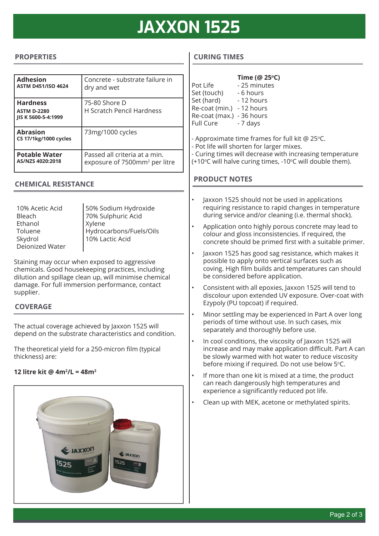# **JAXXON 1525**

#### **PROPERTIES**

| <b>Adhesion</b><br><b>ASTM D451/ISO 4624</b>                 | Concrete - substrate failure in<br>dry and wet                             |
|--------------------------------------------------------------|----------------------------------------------------------------------------|
| <b>Hardness</b><br><b>ASTM D-2280</b><br>IIS K 5600-5-4:1999 | 75-80 Shore D<br><b>H Scratch Pencil Hardness</b>                          |
| <b>Abrasion</b><br><b>CS 17/1kg/1000 cycles</b>              | 73mg/1000 cycles                                                           |
| <b>Potable Water</b><br>AS/NZS 4020:2018                     | Passed all criteria at a min.<br>exposure of 7500mm <sup>2</sup> per litre |

#### **CHEMICAL RESISTANCE**

10% Acetic Acid Bleach Ethanol Toluene Skydrol Deionized Water Xylene

50% Sodium Hydroxide 70% Sulphuric Acid Hydrocarbons/Fuels/Oils 10% Lactic Acid

Staining may occur when exposed to aggressive chemicals. Good housekeeping practices, including dilution and spillage clean up, will minimise chemical damage. For full immersion performance, contact supplier.

#### **COVERAGE**

The actual coverage achieved by Jaxxon 1525 will depend on the substrate characteristics and condition.

The theoretical yield for a 250-micron film (typical thickness) are:

#### **12 litre kit @ 4m2 /L = 48m2**



#### **CURING TIMES**

|                           | Time (@ 25°C) |
|---------------------------|---------------|
| Pot Life                  | - 25 minutes  |
| Set (touch)               | - 6 hours     |
| Set (hard)                | - 12 hours    |
| Re-coat (min.)            | - 12 hours    |
| Re-coat (max.) - 36 hours |               |
| Full Cure                 | - 7 days      |
|                           |               |
|                           |               |

- Approximate time frames for full kit  $@$  25 $°C$ .
- Pot life will shorten for larger mixes.
- Curing times will decrease with increasing temperature
- (+10°C will halve curing times, -10°C will double them).

#### **PRODUCT NOTES**

- Jaxxon 1525 should not be used in applications requiring resistance to rapid changes in temperature during service and/or cleaning (i.e. thermal shock).
- Application onto highly porous concrete may lead to colour and gloss inconsistencies. If required, the concrete should be primed first with a suitable primer.
- Jaxxon 1525 has good sag resistance, which makes it possible to apply onto vertical surfaces such as coving. High film builds and temperatures can should be considered before application.
- Consistent with all epoxies, Jaxxon 1525 will tend to discolour upon extended UV exposure. Over-coat with Ezypoly (PU topcoat) if required.
- Minor settling may be experienced in Part A over long periods of time without use. In such cases, mix separately and thoroughly before use.
- In cool conditions, the viscosity of Jaxxon 1525 will increase and may make application difficult. Part A can be slowly warmed with hot water to reduce viscosity before mixing if required. Do not use below 5°C.
- If more than one kit is mixed at a time, the product can reach dangerously high temperatures and experience a significantly reduced pot life.
- Clean up with MEK, acetone or methylated spirits.